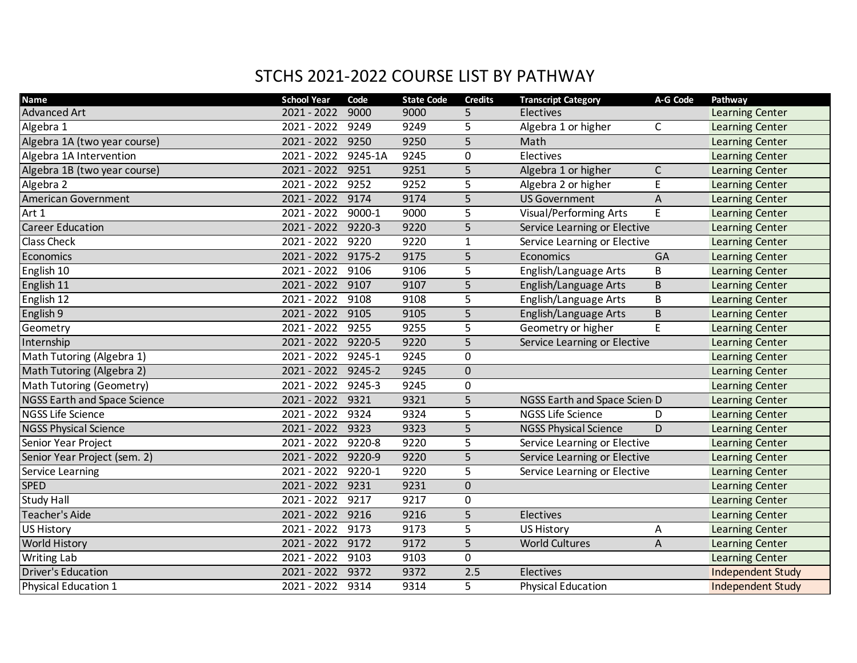## STCHS 2021-2022 COURSE LIST BY PATHWAY

| <b>Name</b>                         | <b>School Year</b> | Code    | <b>State Code</b> | <b>Credits</b> | <b>Transcript Category</b>    | A-G Code    | Pathway                  |
|-------------------------------------|--------------------|---------|-------------------|----------------|-------------------------------|-------------|--------------------------|
| <b>Advanced Art</b>                 | 2021 - 2022        | 9000    | 9000              | 5              | Electives                     |             | <b>Learning Center</b>   |
| Algebra 1                           | 2021 - 2022        | 9249    | 9249              | 5              | Algebra 1 or higher           | $\mathsf C$ | Learning Center          |
| Algebra 1A (two year course)        | 2021 - 2022        | 9250    | 9250              | $\overline{5}$ | Math                          |             | Learning Center          |
| Algebra 1A Intervention             | 2021 - 2022        | 9245-1A | 9245              | 0              | Electives                     |             | Learning Center          |
| Algebra 1B (two year course)        | 2021 - 2022        | 9251    | 9251              | 5              | Algebra 1 or higher           | $\mathsf C$ | Learning Center          |
| Algebra 2                           | 2021 - 2022        | 9252    | 9252              | 5              | Algebra 2 or higher           | E           | <b>Learning Center</b>   |
| American Government                 | $2021 - 2022$      | 9174    | 9174              | $\overline{5}$ | <b>US Government</b>          | $\mathsf A$ | <b>Learning Center</b>   |
| Art 1                               | 2021 - 2022        | 9000-1  | 9000              | 5              | <b>Visual/Performing Arts</b> | E           | Learning Center          |
| <b>Career Education</b>             | $2021 - 2022$      | 9220-3  | 9220              | 5              | Service Learning or Elective  |             | Learning Center          |
| <b>Class Check</b>                  | 2021 - 2022        | 9220    | 9220              | $\mathbf{1}$   | Service Learning or Elective  |             | Learning Center          |
| Economics                           | 2021 - 2022        | 9175-2  | 9175              | 5              | Economics                     | GA          | <b>Learning Center</b>   |
| English 10                          | 2021 - 2022        | 9106    | 9106              | 5              | English/Language Arts         | B           | Learning Center          |
| English <sub>11</sub>               | 2021 - 2022        | 9107    | 9107              | 5              | English/Language Arts         | B           | Learning Center          |
| English 12                          | 2021 - 2022        | 9108    | 9108              | 5              | English/Language Arts         | B           | Learning Center          |
| English 9                           | $2021 - 2022$      | 9105    | 9105              | $\overline{5}$ | English/Language Arts         | B           | Learning Center          |
| Geometry                            | $2021 - 2022$      | 9255    | 9255              | $\overline{5}$ | Geometry or higher            | E           | Learning Center          |
| Internship                          | 2021 - 2022 9220-5 |         | 9220              | 5              | Service Learning or Elective  |             | <b>Learning Center</b>   |
| Math Tutoring (Algebra 1)           | 2021 - 2022        | 9245-1  | 9245              | 0              |                               |             | Learning Center          |
| Math Tutoring (Algebra 2)           | 2021 - 2022        | 9245-2  | 9245              | $\mathbf 0$    |                               |             | Learning Center          |
| Math Tutoring (Geometry)            | 2021 - 2022        | 9245-3  | 9245              | 0              |                               |             | <b>Learning Center</b>   |
| <b>NGSS Earth and Space Science</b> | $2021 - 2022$      | 9321    | 9321              | $\overline{5}$ | NGSS Earth and Space Scien D  |             | Learning Center          |
| <b>NGSS Life Science</b>            | 2021 - 2022        | 9324    | 9324              | 5              | <b>NGSS Life Science</b>      | D           | Learning Center          |
| <b>NGSS Physical Science</b>        | 2021 - 2022        | 9323    | 9323              | 5              | <b>NGSS Physical Science</b>  | D           | Learning Center          |
| Senior Year Project                 | 2021 - 2022        | 9220-8  | 9220              | 5              | Service Learning or Elective  |             | <b>Learning Center</b>   |
| Senior Year Project (sem. 2)        | 2021 - 2022        | 9220-9  | 9220              | 5              | Service Learning or Elective  |             | Learning Center          |
| Service Learning                    | 2021 - 2022        | 9220-1  | 9220              | 5              | Service Learning or Elective  |             | Learning Center          |
| <b>SPED</b>                         | 2021 - 2022        | 9231    | 9231              | $\mathbf 0$    |                               |             | Learning Center          |
| <b>Study Hall</b>                   | 2021 - 2022        | 9217    | 9217              | 0              |                               |             | <b>Learning Center</b>   |
| <b>Teacher's Aide</b>               | $2021 - 2022$      | 9216    | 9216              | $\overline{5}$ | Electives                     |             | Learning Center          |
| <b>US History</b>                   | $2021 - 2022$      | 9173    | 9173              | $\overline{5}$ | <b>US History</b>             | Α           | Learning Center          |
| <b>World History</b>                | 2021 - 2022        | 9172    | 9172              | 5              | <b>World Cultures</b>         | A           | Learning Center          |
| <b>Writing Lab</b>                  | 2021 - 2022 9103   |         | 9103              | 0              |                               |             | <b>Learning Center</b>   |
| <b>Driver's Education</b>           | 2021 - 2022        | 9372    | 9372              | 2.5            | Electives                     |             | <b>Independent Study</b> |
| Physical Education 1                | 2021 - 2022 9314   |         | 9314              | 5              | <b>Physical Education</b>     |             | <b>Independent Study</b> |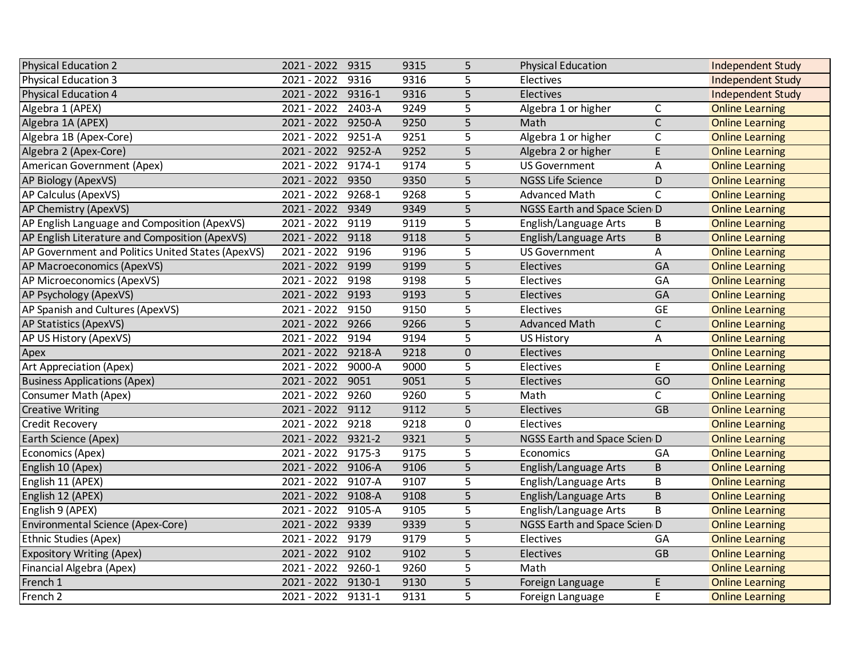| <b>Physical Education 2</b>                       | 2021 - 2022 9315   |        | 9315 | 5              | <b>Physical Education</b>    |                 | <b>Independent Study</b> |
|---------------------------------------------------|--------------------|--------|------|----------------|------------------------------|-----------------|--------------------------|
| <b>Physical Education 3</b>                       | 2021 - 2022        | 9316   | 9316 | 5              | Electives                    |                 | <b>Independent Study</b> |
| <b>Physical Education 4</b>                       | 2021 - 2022 9316-1 |        | 9316 | $\overline{5}$ | Electives                    |                 | <b>Independent Study</b> |
| Algebra 1 (APEX)                                  | 2021 - 2022 2403-A |        | 9249 | 5              | Algebra 1 or higher          | $\mathsf C$     | <b>Online Learning</b>   |
| Algebra 1A (APEX)                                 | 2021 - 2022 9250-A |        | 9250 | 5              | Math                         | $\mathsf{C}$    | <b>Online Learning</b>   |
| Algebra 1B (Apex-Core)                            | 2021 - 2022 9251-A |        | 9251 | 5              | Algebra 1 or higher          | $\mathsf{C}$    | <b>Online Learning</b>   |
| Algebra 2 (Apex-Core)                             | 2021 - 2022 9252-A |        | 9252 | 5              | Algebra 2 or higher          | E               | <b>Online Learning</b>   |
| American Government (Apex)                        | 2021 - 2022 9174-1 |        | 9174 | 5              | <b>US Government</b>         | A               | <b>Online Learning</b>   |
| AP Biology (ApexVS)                               | 2021 - 2022 9350   |        | 9350 | $\overline{5}$ | <b>NGSS Life Science</b>     | D               | <b>Online Learning</b>   |
| AP Calculus (ApexVS)                              | 2021 - 2022        | 9268-1 | 9268 | 5              | <b>Advanced Math</b>         | $\mathsf{C}$    | <b>Online Learning</b>   |
| AP Chemistry (ApexVS)                             | $2021 - 2022$      | 9349   | 9349 | $\overline{5}$ | NGSS Earth and Space Scien D |                 | <b>Online Learning</b>   |
| AP English Language and Composition (ApexVS)      | 2021 - 2022        | 9119   | 9119 | $\overline{5}$ | English/Language Arts        | В               | <b>Online Learning</b>   |
| AP English Literature and Composition (ApexVS)    | 2021 - 2022        | 9118   | 9118 | 5              | English/Language Arts        | B               | <b>Online Learning</b>   |
| AP Government and Politics United States (ApexVS) | $2021 - 2022$      | 9196   | 9196 | 5              | <b>US Government</b>         | Α               | <b>Online Learning</b>   |
| AP Macroeconomics (ApexVS)                        | 2021 - 2022 9199   |        | 9199 | 5              | Electives                    | GA              | <b>Online Learning</b>   |
| AP Microeconomics (ApexVS)                        | 2021 - 2022 9198   |        | 9198 | 5              | Electives                    | GA              | <b>Online Learning</b>   |
| AP Psychology (ApexVS)                            | 2021 - 2022 9193   |        | 9193 | 5              | Electives                    | GA              | <b>Online Learning</b>   |
| AP Spanish and Cultures (ApexVS)                  | 2021 - 2022        | 9150   | 9150 | 5              | Electives                    | <b>GE</b>       | <b>Online Learning</b>   |
| <b>AP Statistics (ApexVS)</b>                     | 2021 - 2022 9266   |        | 9266 | $\overline{5}$ | <b>Advanced Math</b>         | $\mathsf{C}$    | <b>Online Learning</b>   |
| AP US History (ApexVS)                            | $2021 - 2022$      | 9194   | 9194 | $\overline{5}$ | <b>US History</b>            | A               | <b>Online Learning</b>   |
| Apex                                              | 2021 - 2022 9218-A |        | 9218 | 0              | Electives                    |                 | <b>Online Learning</b>   |
| <b>Art Appreciation (Apex)</b>                    | 2021 - 2022 9000-A |        | 9000 | 5              | Electives                    | E               | <b>Online Learning</b>   |
| <b>Business Applications (Apex)</b>               | 2021 - 2022 9051   |        | 9051 | $\overline{5}$ | Electives                    | $\overline{GO}$ | <b>Online Learning</b>   |
| Consumer Math (Apex)                              | 2021 - 2022 9260   |        | 9260 | 5              | Math                         | C               | <b>Online Learning</b>   |
| <b>Creative Writing</b>                           | 2021 - 2022 9112   |        | 9112 | $\overline{5}$ | Electives                    | $\overline{GB}$ | <b>Online Learning</b>   |
| Credit Recovery                                   | 2021 - 2022        | 9218   | 9218 | $\pmb{0}$      | Electives                    |                 | <b>Online Learning</b>   |
| Earth Science (Apex)                              | 2021 - 2022 9321-2 |        | 9321 | 5              | NGSS Earth and Space Scien D |                 | <b>Online Learning</b>   |
| Economics (Apex)                                  | 2021 - 2022 9175-3 |        | 9175 | 5              | Economics                    | GA              | <b>Online Learning</b>   |
| English 10 (Apex)                                 | 2021 - 2022 9106-A |        | 9106 | 5              | English/Language Arts        | B               | <b>Online Learning</b>   |
| English 11 (APEX)                                 | 2021 - 2022 9107-A |        | 9107 | 5              | English/Language Arts        | B               | <b>Online Learning</b>   |
| English 12 (APEX)                                 | 2021 - 2022 9108-A |        | 9108 | $\overline{5}$ | English/Language Arts        | B               | <b>Online Learning</b>   |
| English 9 (APEX)                                  | 2021 - 2022 9105-A |        | 9105 | 5              | English/Language Arts        | B               | <b>Online Learning</b>   |
| <b>Environmental Science (Apex-Core)</b>          | 2021 - 2022 9339   |        | 9339 | $\overline{5}$ | NGSS Earth and Space Scien D |                 | <b>Online Learning</b>   |
| <b>Ethnic Studies (Apex)</b>                      | $2021 - 2022$      | 9179   | 9179 | $\overline{5}$ | Electives                    | GA              | <b>Online Learning</b>   |
| <b>Expository Writing (Apex)</b>                  | 2021 - 2022 9102   |        | 9102 | 5              | Electives                    | <b>GB</b>       | <b>Online Learning</b>   |
| Financial Algebra (Apex)                          | 2021 - 2022 9260-1 |        | 9260 | 5              | Math                         |                 | <b>Online Learning</b>   |
| French 1                                          | 2021 - 2022 9130-1 |        | 9130 | 5              | Foreign Language             | E.              | <b>Online Learning</b>   |
| French 2                                          | 2021 - 2022 9131-1 |        | 9131 | 5              | Foreign Language             | E               | <b>Online Learning</b>   |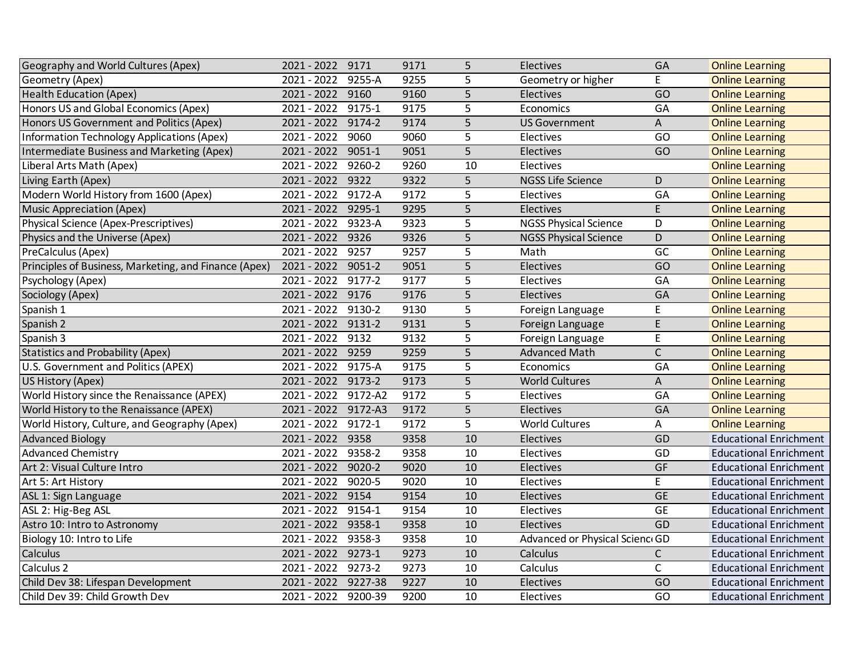| Geography and World Cultures (Apex)                   | 2021 - 2022 9171    |         | 9171 | 5              | Electives                      | GA              | <b>Online Learning</b>        |
|-------------------------------------------------------|---------------------|---------|------|----------------|--------------------------------|-----------------|-------------------------------|
| Geometry (Apex)                                       | 2021 - 2022         | 9255-A  | 9255 | 5              | Geometry or higher             | E               | <b>Online Learning</b>        |
| <b>Health Education (Apex)</b>                        | 2021 - 2022         | 9160    | 9160 | $\overline{5}$ | Electives                      | $\overline{GO}$ | <b>Online Learning</b>        |
| Honors US and Global Economics (Apex)                 | 2021 - 2022         | 9175-1  | 9175 | $\overline{5}$ | Economics                      | GA              | <b>Online Learning</b>        |
| Honors US Government and Politics (Apex)              | 2021 - 2022         | 9174-2  | 9174 | 5              | <b>US Government</b>           | A               | <b>Online Learning</b>        |
| Information Technology Applications (Apex)            | 2021 - 2022         | 9060    | 9060 | 5              | Electives                      | GO              | <b>Online Learning</b>        |
| Intermediate Business and Marketing (Apex)            | 2021 - 2022         | 9051-1  | 9051 | 5              | Electives                      | GO              | <b>Online Learning</b>        |
| Liberal Arts Math (Apex)                              | 2021 - 2022         | 9260-2  | 9260 | 10             | Electives                      |                 | <b>Online Learning</b>        |
| Living Earth (Apex)                                   | 2021 - 2022         | 9322    | 9322 | $\overline{5}$ | <b>NGSS Life Science</b>       | D               | <b>Online Learning</b>        |
| Modern World History from 1600 (Apex)                 | 2021 - 2022         | 9172-A  | 9172 | $\overline{5}$ | Electives                      | GA              | <b>Online Learning</b>        |
| <b>Music Appreciation (Apex)</b>                      | $2021 - 2022$       | 9295-1  | 9295 | $\overline{5}$ | Electives                      | E               | <b>Online Learning</b>        |
| Physical Science (Apex-Prescriptives)                 | 2021 - 2022         | 9323-A  | 9323 | $\overline{5}$ | <b>NGSS Physical Science</b>   | D               | <b>Online Learning</b>        |
| Physics and the Universe (Apex)                       | 2021 - 2022         | 9326    | 9326 | 5              | <b>NGSS Physical Science</b>   | D               | <b>Online Learning</b>        |
| PreCalculus (Apex)                                    | $2021 - 2022$       | 9257    | 9257 | $\overline{5}$ | Math                           | GC              | <b>Online Learning</b>        |
| Principles of Business, Marketing, and Finance (Apex) | 2021 - 2022         | 9051-2  | 9051 | 5              | Electives                      | GO              | <b>Online Learning</b>        |
| Psychology (Apex)                                     | 2021 - 2022         | 9177-2  | 9177 | 5              | Electives                      | GA              | <b>Online Learning</b>        |
| Sociology (Apex)                                      | 2021 - 2022 9176    |         | 9176 | 5              | Electives                      | GA              | <b>Online Learning</b>        |
| Spanish 1                                             | 2021 - 2022 9130-2  |         | 9130 | 5              | Foreign Language               | E               | <b>Online Learning</b>        |
| Spanish 2                                             | 2021 - 2022         | 9131-2  | 9131 | $\overline{5}$ | Foreign Language               | $\mathsf E$     | <b>Online Learning</b>        |
| Spanish 3                                             | $2021 - 2022$       | 9132    | 9132 | $\overline{5}$ | Foreign Language               | E               | <b>Online Learning</b>        |
| <b>Statistics and Probability (Apex)</b>              | 2021 - 2022 9259    |         | 9259 | 5              | <b>Advanced Math</b>           | $\mathsf{C}$    | <b>Online Learning</b>        |
| U.S. Government and Politics (APEX)                   | 2021 - 2022 9175-A  |         | 9175 | $\overline{5}$ | Economics                      | G A             | <b>Online Learning</b>        |
| US History (Apex)                                     | 2021 - 2022 9173-2  |         | 9173 | $\overline{5}$ | <b>World Cultures</b>          | A               | <b>Online Learning</b>        |
| World History since the Renaissance (APEX)            | 2021 - 2022 9172-A2 |         | 9172 | 5              | Electives                      | GA              | <b>Online Learning</b>        |
| World History to the Renaissance (APEX)               | 2021 - 2022 9172-A3 |         | 9172 | $\overline{5}$ | Electives                      | GA              | <b>Online Learning</b>        |
| World History, Culture, and Geography (Apex)          | 2021 - 2022         | 9172-1  | 9172 | $\overline{5}$ | <b>World Cultures</b>          | Α               | <b>Online Learning</b>        |
| <b>Advanced Biology</b>                               | 2021 - 2022         | 9358    | 9358 | 10             | Electives                      | GD              | <b>Educational Enrichment</b> |
| <b>Advanced Chemistry</b>                             | 2021 - 2022         | 9358-2  | 9358 | 10             | Electives                      | GD              | <b>Educational Enrichment</b> |
| Art 2: Visual Culture Intro                           | 2021 - 2022         | 9020-2  | 9020 | 10             | Electives                      | GF              | <b>Educational Enrichment</b> |
| Art 5: Art History                                    | 2021 - 2022         | 9020-5  | 9020 | 10             | Electives                      | E               | <b>Educational Enrichment</b> |
| ASL 1: Sign Language                                  | $2021 - 2022$       | 9154    | 9154 | 10             | Electives                      | <b>GE</b>       | <b>Educational Enrichment</b> |
| ASL 2: Hig-Beg ASL                                    | 2021 - 2022         | 9154-1  | 9154 | 10             | Electives                      | <b>GE</b>       | <b>Educational Enrichment</b> |
| Astro 10: Intro to Astronomy                          | $2021 - 2022$       | 9358-1  | 9358 | 10             | Electives                      | GD              | <b>Educational Enrichment</b> |
| Biology 10: Intro to Life                             | 2021 - 2022         | 9358-3  | 9358 | 10             | Advanced or Physical Scienc GD |                 | <b>Educational Enrichment</b> |
| Calculus                                              | 2021 - 2022         | 9273-1  | 9273 | 10             | Calculus                       | $\mathsf{C}$    | <b>Educational Enrichment</b> |
| Calculus <sub>2</sub>                                 | 2021 - 2022 9273-2  |         | 9273 | 10             | Calculus                       | $\mathsf{C}$    | <b>Educational Enrichment</b> |
| Child Dev 38: Lifespan Development                    | 2021 - 2022         | 9227-38 | 9227 | 10             | Electives                      | GO              | <b>Educational Enrichment</b> |
| Child Dev 39: Child Growth Dev                        | 2021 - 2022 9200-39 |         | 9200 | 10             | Electives                      | GO              | <b>Educational Enrichment</b> |